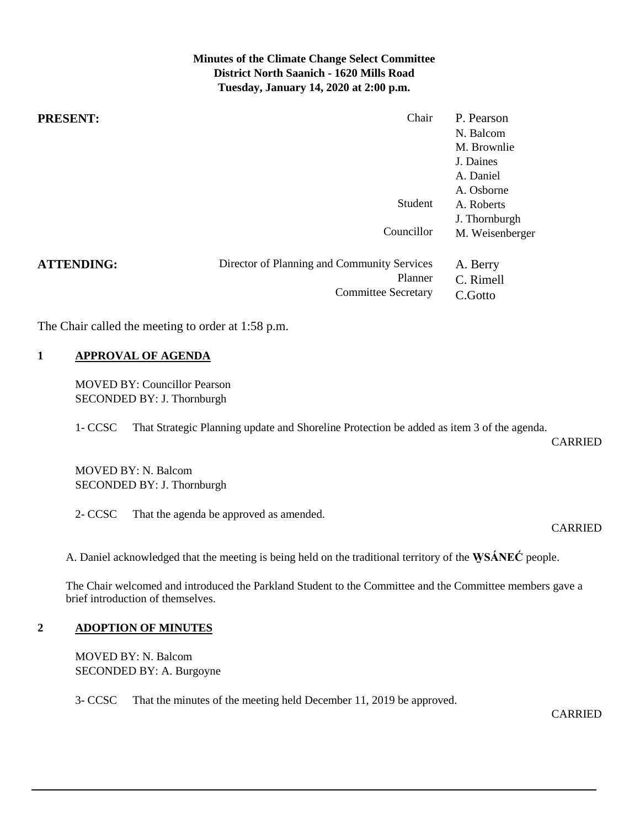# **Minutes of the Climate Change Select Committee District North Saanich - 1620 Mills Road Tuesday, January 14, 2020 at 2:00 p.m.**

| <b>PRESENT:</b>   | Chair                                       | P. Pearson      |
|-------------------|---------------------------------------------|-----------------|
|                   |                                             | N. Balcom       |
|                   |                                             | M. Brownlie     |
|                   |                                             | J. Daines       |
|                   |                                             | A. Daniel       |
|                   |                                             | A. Osborne      |
|                   | Student                                     | A. Roberts      |
|                   |                                             | J. Thornburgh   |
|                   | Councillor                                  | M. Weisenberger |
| <b>ATTENDING:</b> | Director of Planning and Community Services | A. Berry        |
|                   | Planner                                     | C. Rimell       |
|                   | <b>Committee Secretary</b>                  | C.Gotto         |

The Chair called the meeting to order at 1:58 p.m.

### **1 APPROVAL OF AGENDA**

MOVED BY: Councillor Pearson SECONDED BY: J. Thornburgh

1- CCSC That Strategic Planning update and Shoreline Protection be added as item 3 of the agenda.

CARRIED

MOVED BY: N. Balcom SECONDED BY: J. Thornburgh

2- CCSC That the agenda be approved as amended.

CARRIED

A. Daniel acknowledged that the meeting is being held on the traditional territory of the **W̱ SÁNEĆ** people.

The Chair welcomed and introduced the Parkland Student to the Committee and the Committee members gave a brief introduction of themselves.

#### **2 ADOPTION OF MINUTES**

MOVED BY: N. Balcom SECONDED BY: A. Burgoyne

3- CCSC That the minutes of the meeting held December 11, 2019 be approved.

CARRIED